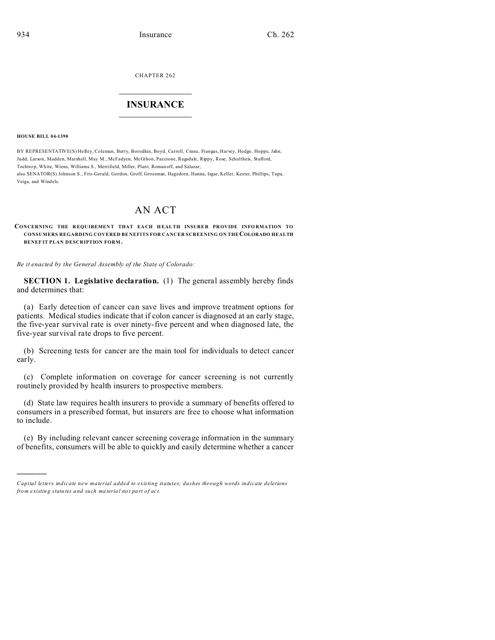CHAPTER 262  $\overline{\phantom{a}}$  , where  $\overline{\phantom{a}}$ 

## **INSURANCE**  $\_$   $\_$   $\_$   $\_$   $\_$   $\_$   $\_$   $\_$

## **HOUSE BILL 04-1390**

)))))

BY REPRESENTATIVE(S) Hefley, Coleman, Berry, Borodkin, Boyd, Carroll, Crane, Frangas, Harvey, Hodge, Hoppe, Jahn, Judd, Larson, Madden, Marshall, May M., McFadyen, McGihon, Paccione, Ragsdale, Rippy, Rose, Schultheis, Stafford, Tochtro p, White, Wiens, Williams S., Merrifield, Miller, Plant, Romanoff, and Salazar; also SENATOR(S) Johnson S., Fitz-Gerald, Gordon, Groff, Grossman, Hagedorn, Hanna, Isgar, Keller, Kester, Phillips, Tupa, Veiga, and Windels.

## AN ACT

## **CONCERNING THE R EQU IREMEN T THAT EA CH H EALTH INSURE R PROVIDE INFO RMATION TO CONSUMERS REGARDING COVERED BE NEFITS FOR CANCER SCREENING ON THECOLORADO HEALTH BENEF IT PLAN DESCRIPTION FORM .**

*Be it enacted by the General Assembly of the State of Colorado:*

**SECTION 1. Legislative declaration.** (1) The general assembly hereby finds and determines that:

(a) Early detection of cancer can save lives and improve treatment options for patients. Medical studies indicate that if colon cancer is diagnosed at an early stage, the five-year survival rate is over ninety-five percent and when diagnosed late, the five-year survival rate drops to five percent.

(b) Screening tests for cancer are the main tool for individuals to detect cancer early.

(c) Complete information on coverage for cancer screening is not currently routinely provided by health insurers to prospective members.

(d) State law requires health insurers to provide a summary of benefits offered to consumers in a prescribed format, but insurers are free to choose what information to include.

(e) By including relevant cancer screening coverage information in the summary of benefits, consumers will be able to quickly and easily determine whether a cancer

*Capital letters indicate new material added to existing statutes; dashes through words indicate deletions from e xistin g statu tes a nd such ma teria l no t pa rt of ac t.*